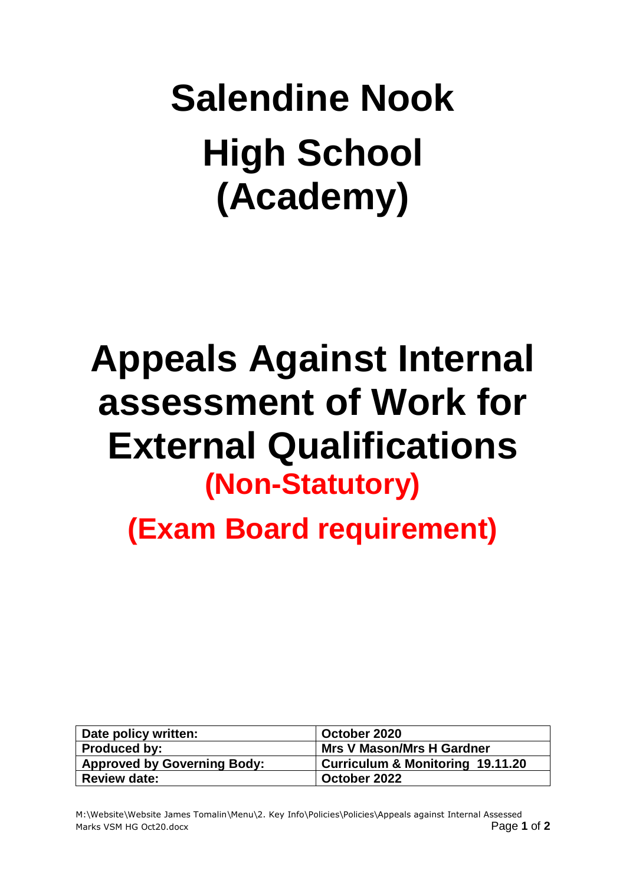## **Salendine Nook High School (Academy)**

## **Appeals Against Internal assessment of Work for External Qualifications (Non-Statutory)**

**(Exam Board requirement)**

| Date policy written:               | October 2020                                |
|------------------------------------|---------------------------------------------|
| Produced by:                       | <b>Mrs V Mason/Mrs H Gardner</b>            |
| <b>Approved by Governing Body:</b> | <b>Curriculum &amp; Monitoring 19.11.20</b> |
| <b>Review date:</b>                | October 2022                                |
|                                    |                                             |

M:\Website\Website James Tomalin\Menu\2. Key Info\Policies\Policies\Appeals against Internal Assessed Marks VSM HG Oct20.docx Page **1** of **2**